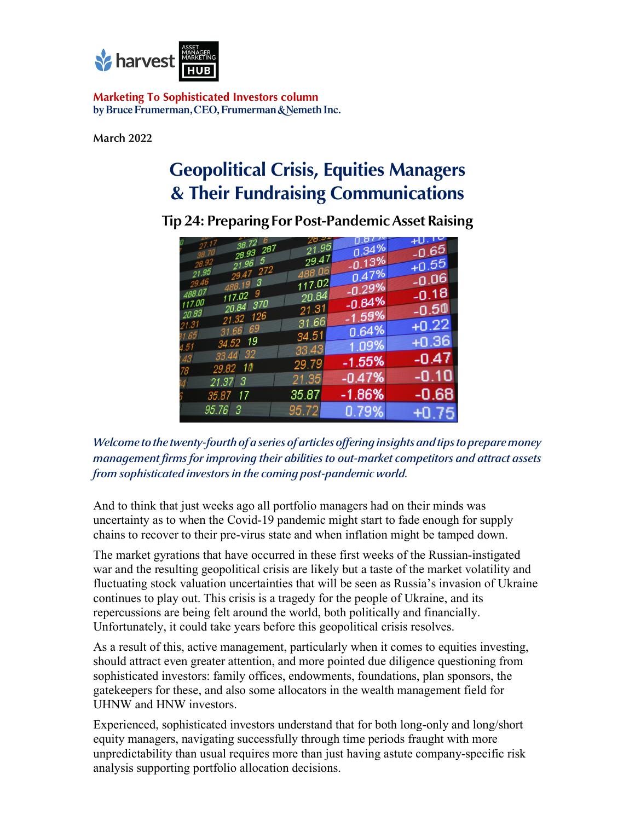

**Marketing To Sophisticated Investors column** by Bruce Frumerman, CEO, Frumerman & Nemeth Inc.

**March 2022**

# **Geopolitical Crisis, Equities Managers & Their Fundraising Communications**

| 38.726<br>27.17<br>28.93 287            | 26.24<br>21.95   | 0.51 <sup>o</sup><br>0.34% | $+0.12$<br>$-0.65$ |
|-----------------------------------------|------------------|----------------------------|--------------------|
| 21.965<br>28.92                         | 29.47            | $-0.13%$                   | $+0.55$            |
| 29.47 272<br>21.95<br>29.46<br>488.19 3 | 488.06<br>117.02 | 0.47%                      | $-0.06$            |
| 488.07<br>117.029                       | 20.84            | $-0.29%$                   | $-0.18$            |
| 117.00<br>20.84 370<br>20.83            | 21.31            | $-0.84%$                   | $-0.50$            |
| 21.32 126<br>21.31<br>31.66 69          | 31.66            | $-1.59%$                   | $+0.22$            |
| 31.65 I<br>34.52 19                     | 34.51            | 0.64%                      | $+0.36$            |
| 4.51<br>33.44 32<br>43                  | 33,43            | 1.09%                      | $-0.47$            |
| 29.82 10<br>78                          | 29.79            | $-1.55%$                   |                    |
| 21.373                                  | 21.35            | $-0.47%$                   | $-0.10$            |
| 35.87 17                                | 35.87            | $-1.86%$                   | $-0.68$            |
| $95.76 \quad 3$                         | 95.72            | 0.79%                      | $+0.75$            |

**Tip 24: Preparing For Post-Pandemic Asset Raising** 

*Welcome to the twenty-fourth of a series of articles offering insights and tips to prepare money management firms for improving their abilities to out-market competitors and attract assets from sophisticated investors in the coming post-pandemic world.*

And to think that just weeks ago all portfolio managers had on their minds was uncertainty as to when the Covid-19 pandemic might start to fade enough for supply chains to recover to their pre-virus state and when inflation might be tamped down.

The market gyrations that have occurred in these first weeks of the Russian-instigated war and the resulting geopolitical crisis are likely but a taste of the market volatility and fluctuating stock valuation uncertainties that will be seen as Russia's invasion of Ukraine continues to play out. This crisis is a tragedy for the people of Ukraine, and its repercussions are being felt around the world, both politically and financially. Unfortunately, it could take years before this geopolitical crisis resolves.

As a result of this, active management, particularly when it comes to equities investing, should attract even greater attention, and more pointed due diligence questioning from sophisticated investors: family offices, endowments, foundations, plan sponsors, the gatekeepers for these, and also some allocators in the wealth management field for UHNW and HNW investors.

Experienced, sophisticated investors understand that for both long-only and long/short equity managers, navigating successfully through time periods fraught with more unpredictability than usual requires more than just having astute company-specific risk analysis supporting portfolio allocation decisions.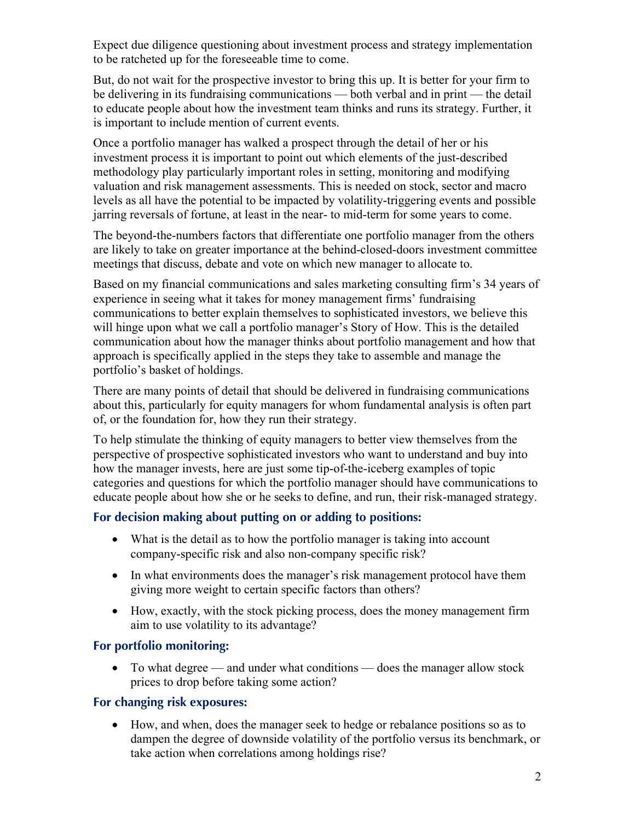Expect due diligence questioning about investment process and strategy implementation to be ratcheted up for the foreseeable time to come.

But, do not wait for the prospective investor to bring this up. It is better for your firm to be delivering in its fundraising communications — both verbal and in print — the detail to educate people about how the investment team thinks and runs its strategy. Further, it is important to include mention of current events.

Once a portfolio manager has walked a prospect through the detail of her or his investment process it is important to point out which elements of the just-described methodology play particularly important roles in setting, monitoring and modifying valuation and risk management assessments. This is needed on stock, sector and macro levels as all have the potential to be impacted by volatility-triggering events and possible jarring reversals of fortune, at least in the near- to mid-term for some years to come.

The beyond-the-numbers factors that differentiate one portfolio manager from the others are likely to take on greater importance at the behind-closed-doors investment committee meetings that discuss, debate and vote on which new manager to allocate to.

Based on my financial communications and sales marketing consulting firm's 34 years of experience in seeing what it takes for money management firms' fundraising communications to better explain themselves to sophisticated investors, we believe this will hinge upon what we call a portfolio manager's Story of How. This is the detailed communication about how the manager thinks about portfolio management and how that approach is specifically applied in the steps they take to assemble and manage the portfolio's basket of holdings.

There are many points of detail that should be delivered in fundraising communications about this, particularly for equity managers for whom fundamental analysis is often part of, or the foundation for, how they run their strategy.

To help stimulate the thinking of equity managers to better view themselves from the perspective of prospective sophisticated investors who want to understand and buy into how the manager invests, here are just some tip-of-the-iceberg examples of topic categories and questions for which the portfolio manager should have communications to educate people about how she or he seeks to define, and run, their risk-managed strategy.

## **For decision making about putting on or adding to positions:**

- What is the detail as to how the portfolio manager is taking into account company-specific risk and also non-company specific risk?
- In what environments does the manager's risk management protocol have them giving more weight to certain specific factors than others?
- How, exactly, with the stock picking process, does the money management firm aim to use volatility to its advantage?

## **For portfolio monitoring:**

• To what degree — and under what conditions — does the manager allow stock prices to drop before taking some action?

## **For changing risk exposures:**

• How, and when, does the manager seek to hedge or rebalance positions so as to dampen the degree of downside volatility of the portfolio versus its benchmark, or take action when correlations among holdings rise?